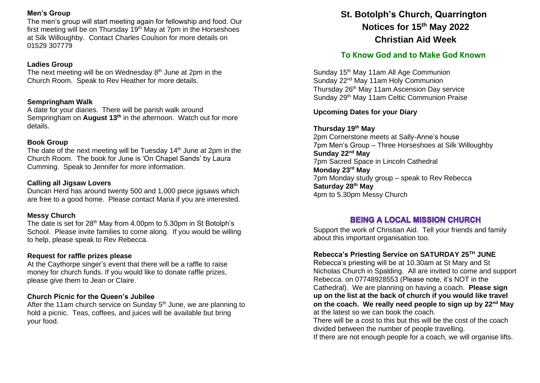### **Men's Group**

The men's group will start meeting again for fellowship and food. Our first meeting will be on Thursday  $19<sup>th</sup>$  May at 7pm in the Horseshoes at Silk Willoughby. Contact Charles Coulson for more details on 01529 307779

### **Ladies Group**

The next meeting will be on Wednesday 8<sup>th</sup> June at 2pm in the Church Room. Speak to Rev Heather for more details.

## **Sempringham Walk**

A date for your diaries. There will be parish walk around Sempringham on **August 13th** in the afternoon. Watch out for more details.

## **Book Group**

The date of the next meeting will be Tuesday  $14<sup>th</sup>$  June at 2pm in the Church Room. The book for June is 'On Chapel Sands' by Laura Cumming. Speak to Jennifer for more information.

## **Calling all Jigsaw Lovers**

Duncan Herd has around twenty 500 and 1,000 piece jigsaws which are free to a good home. Please contact Maria if you are interested.

# **Messy Church**

The date is set for 28<sup>th</sup> May from 4.00pm to 5.30pm in St Botolph's School. Please invite families to come along. If you would be willing to help, please speak to Rev Rebecca.

### **Request for raffle prizes please**

At the Caythorpe singer's event that there will be a raffle to raise money for church funds. If you would like to donate raffle prizes, please give them to Jean or Claire.

# **Church Picnic for the Queen's Jubilee**

After the 11am church service on Sunday  $5<sup>th</sup>$  June, we are planning to hold a picnic. Teas, coffees, and juices will be available but bring your food.

# **St. Botolph's Church, Quarrington Notices for 15th May 2022 Christian Aid Week**

# **To Know God and to Make God Known**

Sunday 15<sup>th</sup> May 11am All Age Communion Sunday 22<sup>nd</sup> May 11am Holy Communion Thursday 26th May 11am Ascension Day service Sunday 29th May 11am Celtic Communion Praise

# **Upcoming Dates for your Diary**

# **Thursday 19th May**

2pm Cornerstone meets at Sally-Anne's house 7pm Men's Group – Three Horseshoes at Silk Willoughby **Sunday 22nd May**  7pm Sacred Space in Lincoln Cathedral **Monday 23rd May** 7pm Monday study group – speak to Rev Rebecca **Saturday 28th May** 4pm to 5.30pm Messy Church

# **BEING A LOCAL MISSION CHURCH**

Support the work of Christian Aid. Tell your friends and family about this important organisation too.

# **Rebecca's Priesting Service on SATURDAY 25TH JUNE**

Rebecca's priesting will be at 10.30am at St Mary and St Nicholas Church in Spalding. All are invited to come and support Rebecca. on 07748928553 (Please note, it's NOT in the Cathedral). We are planning on having a coach. **Please sign up on the list at the back of church if you would like travel on the coach. We really need people to sign up by 22nd May** at the latest so we can book the coach.

There will be a cost to this but this will be the cost of the coach divided between the number of people travelling.

If there are not enough people for a coach, we will organise lifts.